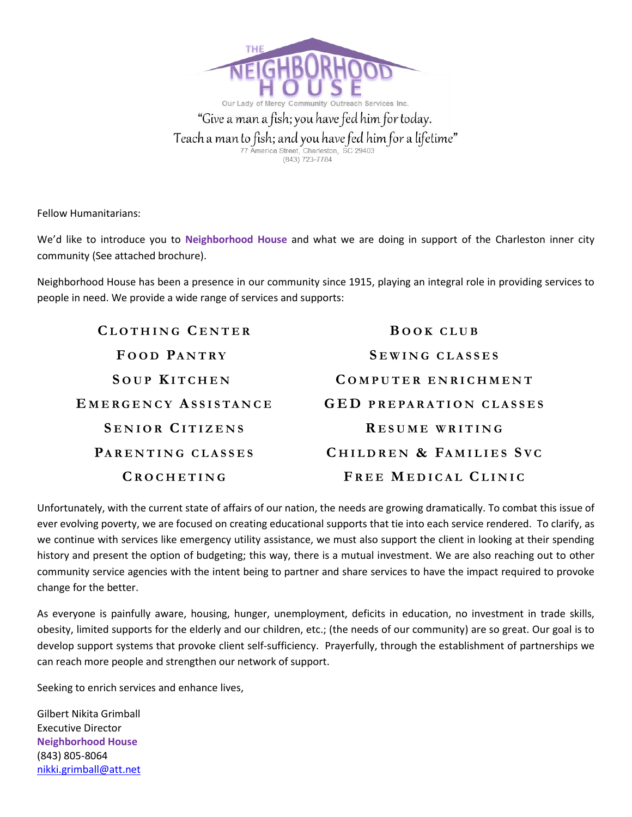

Fellow Humanitarians:

We'd like to introduce you to **Neighborhood House** and what we are doing in support of the Charleston inner city community (See attached brochure).

Neighborhood House has been a presence in our community since 1915, playing an integral role in providing services to people in need. We provide a wide range of services and supports:

| CLOTHING CENTER        | <b>BOOK CLUB</b>               |
|------------------------|--------------------------------|
| FOOD PANTRY            | SEWING CLASSES                 |
| <b>SOUP KITCHEN</b>    | COMPUTER ENRICHMENT            |
| EMERGENCY ASSISTANCE   | <b>GED PREPARATION CLASSES</b> |
| <b>SENIOR CITIZENS</b> | RESUME WRITING                 |
| PARENTING CLASSES      | CHILDREN & FAMILIES SVC        |
| CROCHETING             | FREE MEDICAL CLINIC            |

Unfortunately, with the current state of affairs of our nation, the needs are growing dramatically. To combat this issue of ever evolving poverty, we are focused on creating educational supports that tie into each service rendered. To clarify, as we continue with services like emergency utility assistance, we must also support the client in looking at their spending history and present the option of budgeting; this way, there is a mutual investment. We are also reaching out to other community service agencies with the intent being to partner and share services to have the impact required to provoke change for the better.

As everyone is painfully aware, housing, hunger, unemployment, deficits in education, no investment in trade skills, obesity, limited supports for the elderly and our children, etc.; (the needs of our community) are so great. Our goal is to develop support systems that provoke client self-sufficiency. Prayerfully, through the establishment of partnerships we can reach more people and strengthen our network of support.

Seeking to enrich services and enhance lives,

Gilbert Nikita Grimball Executive Director **Neighborhood House** (843) 805-8064 [nikki.grimball@att.net](mailto:nikki.grimball@att.net)